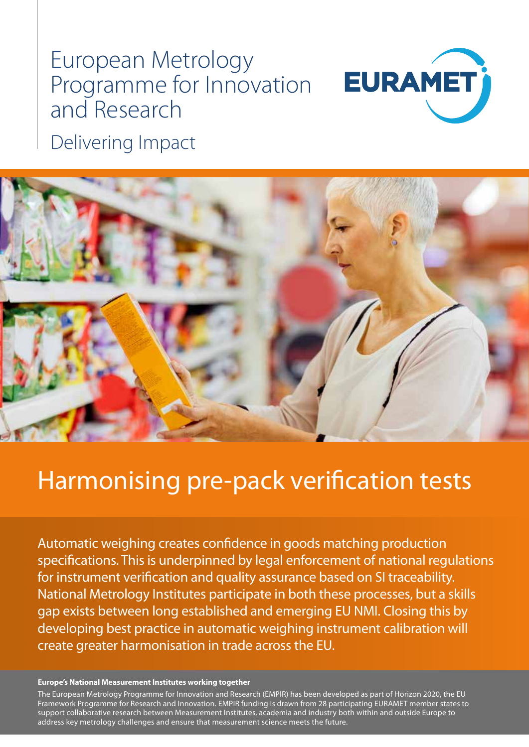# European Metrology Programme for Innovation and Research



Delivering Impact



# Harmonising pre-pack verification tests

Automatic weighing creates confidence in goods matching production specifications. This is underpinned by legal enforcement of national regulations for instrument verification and quality assurance based on SI traceability. National Metrology Institutes participate in both these processes, but a skills gap exists between long established and emerging EU NMI. Closing this by developing best practice in automatic weighing instrument calibration will create greater harmonisation in trade across the EU.

#### **Europe's National Measurement Institutes working together**

The European Metrology Programme for Innovation and Research (EMPIR) has been developed as part of Horizon 2020, the EU Framework Programme for Research and Innovation. EMPIR funding is drawn from 28 participating EURAMET member states to support collaborative research between Measurement Institutes, academia and industry both within and outside Europe to address key metrology challenges and ensure that measurement science meets the future.